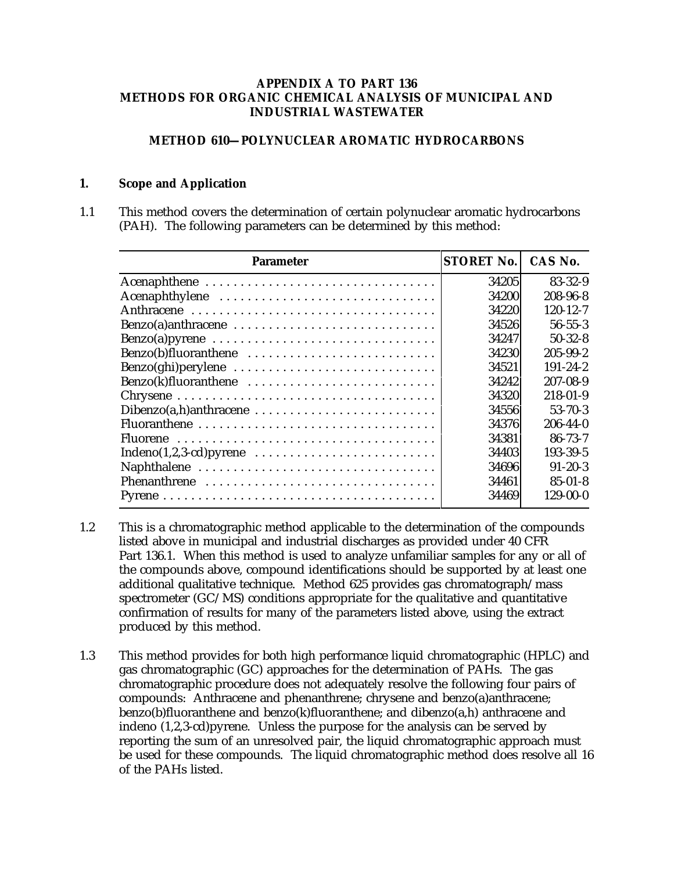#### **APPENDIX A TO PART 136 METHODS FOR ORGANIC CHEMICAL ANALYSIS OF MUNICIPAL AND INDUSTRIAL WASTEWATER**

## **METHOD 610—POLYNUCLEAR AROMATIC HYDROCARBONS**

#### **1. Scope and Application**

1.1 This method covers the determination of certain polynuclear aromatic hydrocarbons (PAH). The following parameters can be determined by this method:

| <b>Parameter</b>                                                                      | <b>STORET No.</b> | CAS No.        |
|---------------------------------------------------------------------------------------|-------------------|----------------|
| Acenaphthene                                                                          | 34205             | $83 - 32 - 9$  |
| Acenaphthylene                                                                        | 34200             | 208-96-8       |
|                                                                                       | 34220             | $120 - 12 - 7$ |
| $Benzo(a)$ anthracene $\ldots \ldots \ldots \ldots \ldots \ldots \ldots \ldots$       | 34526             | $56 - 55 - 3$  |
| Benzo(a)pyrene                                                                        | 34247             | $50-32-8$      |
| Benzo(b)fluoranthene                                                                  | 34230             | $205 - 99 - 2$ |
|                                                                                       | 34521             | $191 - 24 - 2$ |
| Benzo(k)fluoranthene                                                                  | 34242             | 207-08-9       |
|                                                                                       | 34320             | $218 - 01 - 9$ |
|                                                                                       | 34556             | $53 - 70 - 3$  |
|                                                                                       | 34376             | $206 - 44 - 0$ |
|                                                                                       | 34381             | $86 - 73 - 7$  |
| Indeno $(1,2,3$ -cd) pyrene $\ldots \ldots \ldots \ldots \ldots \ldots \ldots \ldots$ | 34403             | 193-39-5       |
|                                                                                       | 34696             | $91 - 20 - 3$  |
| Phenanthrene                                                                          | 34461             | $85 - 01 - 8$  |
|                                                                                       | 34469             | $129-00-0$     |

- 1.2 This is a chromatographic method applicable to the determination of the compounds listed above in municipal and industrial discharges as provided under 40 CFR Part 136.1. When this method is used to analyze unfamiliar samples for any or all of the compounds above, compound identifications should be supported by at least one additional qualitative technique. Method 625 provides gas chromatograph/mass spectrometer (GC/MS) conditions appropriate for the qualitative and quantitative confirmation of results for many of the parameters listed above, using the extract produced by this method.
- 1.3 This method provides for both high performance liquid chromatographic (HPLC) and gas chromatographic (GC) approaches for the determination of PAHs. The gas chromatographic procedure does not adequately resolve the following four pairs of compounds: Anthracene and phenanthrene; chrysene and benzo(a)anthracene; benzo(b)fluoranthene and benzo(k)fluoranthene; and dibenzo(a,h) anthracene and indeno (1,2,3-cd)pyrene. Unless the purpose for the analysis can be served by reporting the sum of an unresolved pair, the liquid chromatographic approach must be used for these compounds. The liquid chromatographic method does resolve all 16 of the PAHs listed.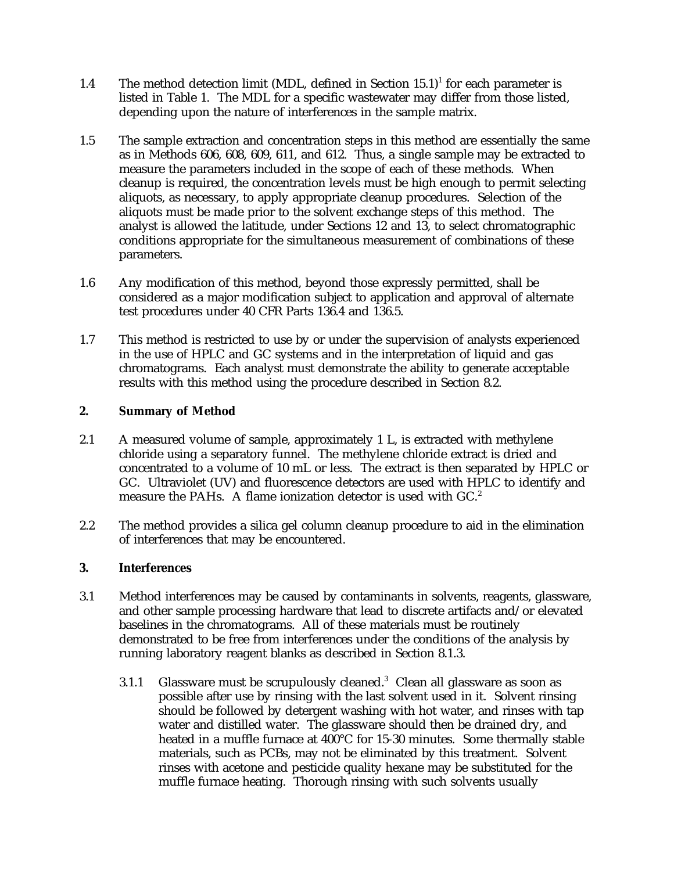- 1.4 The method detection limit (MDL, defined in Section  $15.1$ )<sup>1</sup> for each parameter is listed in Table 1. The MDL for a specific wastewater may differ from those listed, depending upon the nature of interferences in the sample matrix.
- 1.5 The sample extraction and concentration steps in this method are essentially the same as in Methods 606, 608, 609, 611, and 612. Thus, a single sample may be extracted to measure the parameters included in the scope of each of these methods. When cleanup is required, the concentration levels must be high enough to permit selecting aliquots, as necessary, to apply appropriate cleanup procedures. Selection of the aliquots must be made prior to the solvent exchange steps of this method. The analyst is allowed the latitude, under Sections 12 and 13, to select chromatographic conditions appropriate for the simultaneous measurement of combinations of these parameters.
- 1.6 Any modification of this method, beyond those expressly permitted, shall be considered as a major modification subject to application and approval of alternate test procedures under 40 CFR Parts 136.4 and 136.5.
- 1.7 This method is restricted to use by or under the supervision of analysts experienced in the use of HPLC and GC systems and in the interpretation of liquid and gas chromatograms. Each analyst must demonstrate the ability to generate acceptable results with this method using the procedure described in Section 8.2.

## **2. Summary of Method**

- 2.1 A measured volume of sample, approximately 1 L, is extracted with methylene chloride using a separatory funnel. The methylene chloride extract is dried and concentrated to a volume of 10 mL or less. The extract is then separated by HPLC or GC. Ultraviolet (UV) and fluorescence detectors are used with HPLC to identify and measure the PAHs. A flame ionization detector is used with  $GC<sup>2</sup>$ .
- 2.2 The method provides a silica gel column cleanup procedure to aid in the elimination of interferences that may be encountered.

#### **3. Interferences**

- 3.1 Method interferences may be caused by contaminants in solvents, reagents, glassware, and other sample processing hardware that lead to discrete artifacts and/or elevated baselines in the chromatograms. All of these materials must be routinely demonstrated to be free from interferences under the conditions of the analysis by running laboratory reagent blanks as described in Section 8.1.3.
	- 3.1.1 Glassware must be scrupulously cleaned.<sup>3</sup> Clean all glassware as soon as possible after use by rinsing with the last solvent used in it. Solvent rinsing should be followed by detergent washing with hot water, and rinses with tap water and distilled water. The glassware should then be drained dry, and heated in a muffle furnace at 400°C for 15-30 minutes. Some thermally stable materials, such as PCBs, may not be eliminated by this treatment. Solvent rinses with acetone and pesticide quality hexane may be substituted for the muffle furnace heating. Thorough rinsing with such solvents usually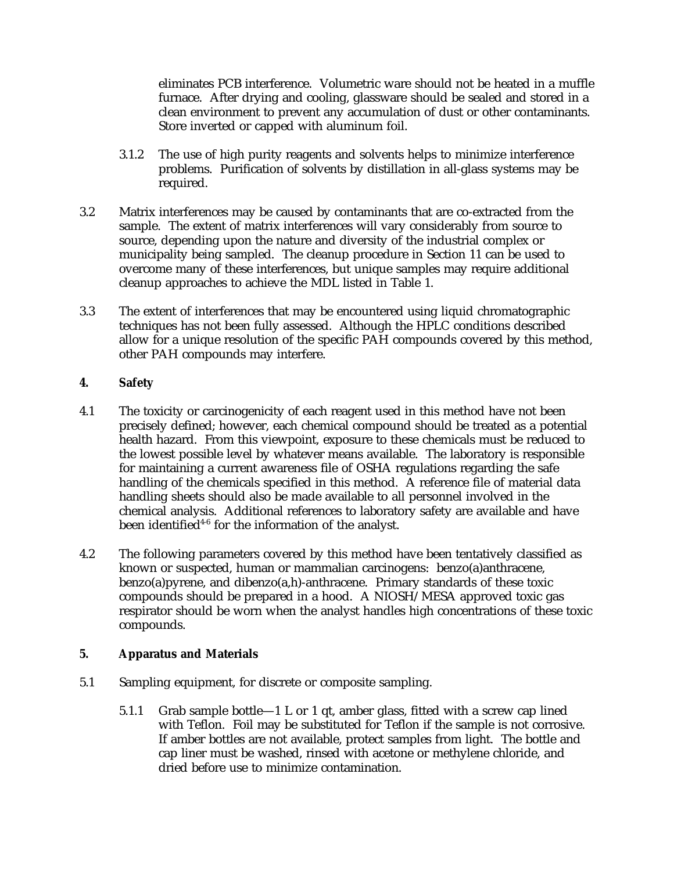eliminates PCB interference. Volumetric ware should not be heated in a muffle furnace. After drying and cooling, glassware should be sealed and stored in a clean environment to prevent any accumulation of dust or other contaminants. Store inverted or capped with aluminum foil.

- 3.1.2 The use of high purity reagents and solvents helps to minimize interference problems. Purification of solvents by distillation in all-glass systems may be required.
- 3.2 Matrix interferences may be caused by contaminants that are co-extracted from the sample. The extent of matrix interferences will vary considerably from source to source, depending upon the nature and diversity of the industrial complex or municipality being sampled. The cleanup procedure in Section 11 can be used to overcome many of these interferences, but unique samples may require additional cleanup approaches to achieve the MDL listed in Table 1.
- 3.3 The extent of interferences that may be encountered using liquid chromatographic techniques has not been fully assessed. Although the HPLC conditions described allow for a unique resolution of the specific PAH compounds covered by this method, other PAH compounds may interfere.

## **4. Safety**

- 4.1 The toxicity or carcinogenicity of each reagent used in this method have not been precisely defined; however, each chemical compound should be treated as a potential health hazard. From this viewpoint, exposure to these chemicals must be reduced to the lowest possible level by whatever means available. The laboratory is responsible for maintaining a current awareness file of OSHA regulations regarding the safe handling of the chemicals specified in this method. A reference file of material data handling sheets should also be made available to all personnel involved in the chemical analysis. Additional references to laboratory safety are available and have been identified<sup>4-6</sup> for the information of the analyst.
- 4.2 The following parameters covered by this method have been tentatively classified as known or suspected, human or mammalian carcinogens: benzo(a)anthracene, benzo(a)pyrene, and dibenzo(a,h)-anthracene. Primary standards of these toxic compounds should be prepared in a hood. A NIOSH/MESA approved toxic gas respirator should be worn when the analyst handles high concentrations of these toxic compounds.

# **5. Apparatus and Materials**

- 5.1 Sampling equipment, for discrete or composite sampling.
	- 5.1.1 Grab sample bottle—1 L or 1 qt, amber glass, fitted with a screw cap lined with Teflon. Foil may be substituted for Teflon if the sample is not corrosive. If amber bottles are not available, protect samples from light. The bottle and cap liner must be washed, rinsed with acetone or methylene chloride, and dried before use to minimize contamination.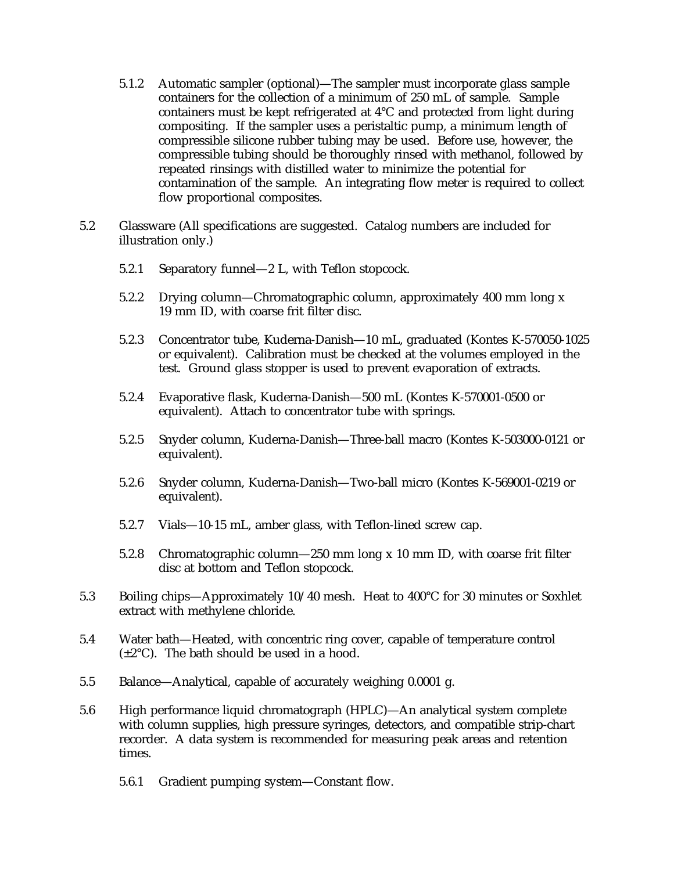- 5.1.2 Automatic sampler (optional)—The sampler must incorporate glass sample containers for the collection of a minimum of 250 mL of sample. Sample containers must be kept refrigerated at 4°C and protected from light during compositing. If the sampler uses a peristaltic pump, a minimum length of compressible silicone rubber tubing may be used. Before use, however, the compressible tubing should be thoroughly rinsed with methanol, followed by repeated rinsings with distilled water to minimize the potential for contamination of the sample. An integrating flow meter is required to collect flow proportional composites.
- 5.2 Glassware (All specifications are suggested. Catalog numbers are included for illustration only.)
	- 5.2.1 Separatory funnel—2 L, with Teflon stopcock.
	- 5.2.2 Drying column—Chromatographic column, approximately 400 mm long x 19 mm ID, with coarse frit filter disc.
	- 5.2.3 Concentrator tube, Kuderna-Danish—10 mL, graduated (Kontes K-570050-1025 or equivalent). Calibration must be checked at the volumes employed in the test. Ground glass stopper is used to prevent evaporation of extracts.
	- 5.2.4 Evaporative flask, Kuderna-Danish—500 mL (Kontes K-570001-0500 or equivalent). Attach to concentrator tube with springs.
	- 5.2.5 Snyder column, Kuderna-Danish—Three-ball macro (Kontes K-503000-0121 or equivalent).
	- 5.2.6 Snyder column, Kuderna-Danish—Two-ball micro (Kontes K-569001-0219 or equivalent).
	- 5.2.7 Vials—10-15 mL, amber glass, with Teflon-lined screw cap.
	- 5.2.8 Chromatographic column—250 mm long x 10 mm ID, with coarse frit filter disc at bottom and Teflon stopcock.
- 5.3 Boiling chips—Approximately 10/40 mesh. Heat to 400°C for 30 minutes or Soxhlet extract with methylene chloride.
- 5.4 Water bath—Heated, with concentric ring cover, capable of temperature control  $(\pm 2^{\circ}C)$ . The bath should be used in a hood.
- 5.5 Balance—Analytical, capable of accurately weighing 0.0001 g.
- 5.6 High performance liquid chromatograph (HPLC)—An analytical system complete with column supplies, high pressure syringes, detectors, and compatible strip-chart recorder. A data system is recommended for measuring peak areas and retention times.
	- 5.6.1 Gradient pumping system—Constant flow.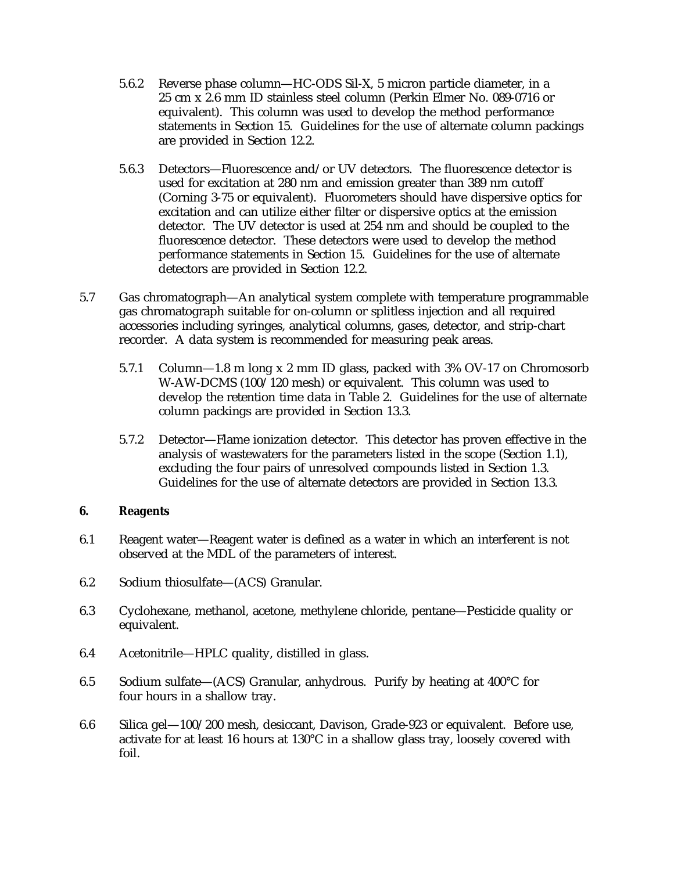- 5.6.2 Reverse phase column—HC-ODS Sil-X, 5 micron particle diameter, in a 25 cm x 2.6 mm ID stainless steel column (Perkin Elmer No. 089-0716 or equivalent). This column was used to develop the method performance statements in Section 15. Guidelines for the use of alternate column packings are provided in Section 12.2.
- 5.6.3 Detectors—Fluorescence and/or UV detectors. The fluorescence detector is used for excitation at 280 nm and emission greater than 389 nm cutoff (Corning 3-75 or equivalent). Fluorometers should have dispersive optics for excitation and can utilize either filter or dispersive optics at the emission detector. The UV detector is used at 254 nm and should be coupled to the fluorescence detector. These detectors were used to develop the method performance statements in Section 15. Guidelines for the use of alternate detectors are provided in Section 12.2.
- 5.7 Gas chromatograph—An analytical system complete with temperature programmable gas chromatograph suitable for on-column or splitless injection and all required accessories including syringes, analytical columns, gases, detector, and strip-chart recorder. A data system is recommended for measuring peak areas.
	- 5.7.1 Column—1.8 m long x 2 mm ID glass, packed with 3% OV-17 on Chromosorb W-AW-DCMS (100/120 mesh) or equivalent. This column was used to develop the retention time data in Table 2. Guidelines for the use of alternate column packings are provided in Section 13.3.
	- 5.7.2 Detector—Flame ionization detector. This detector has proven effective in the analysis of wastewaters for the parameters listed in the scope (Section 1.1), excluding the four pairs of unresolved compounds listed in Section 1.3. Guidelines for the use of alternate detectors are provided in Section 13.3.

#### **6. Reagents**

- 6.1 Reagent water—Reagent water is defined as a water in which an interferent is not observed at the MDL of the parameters of interest.
- 6.2 Sodium thiosulfate—(ACS) Granular.
- 6.3 Cyclohexane, methanol, acetone, methylene chloride, pentane—Pesticide quality or equivalent.
- 6.4 Acetonitrile—HPLC quality, distilled in glass.
- 6.5 Sodium sulfate—(ACS) Granular, anhydrous. Purify by heating at  $400^{\circ}$ C for four hours in a shallow tray.
- 6.6 Silica gel—100/200 mesh, desiccant, Davison, Grade-923 or equivalent. Before use, activate for at least 16 hours at 130°C in a shallow glass tray, loosely covered with foil.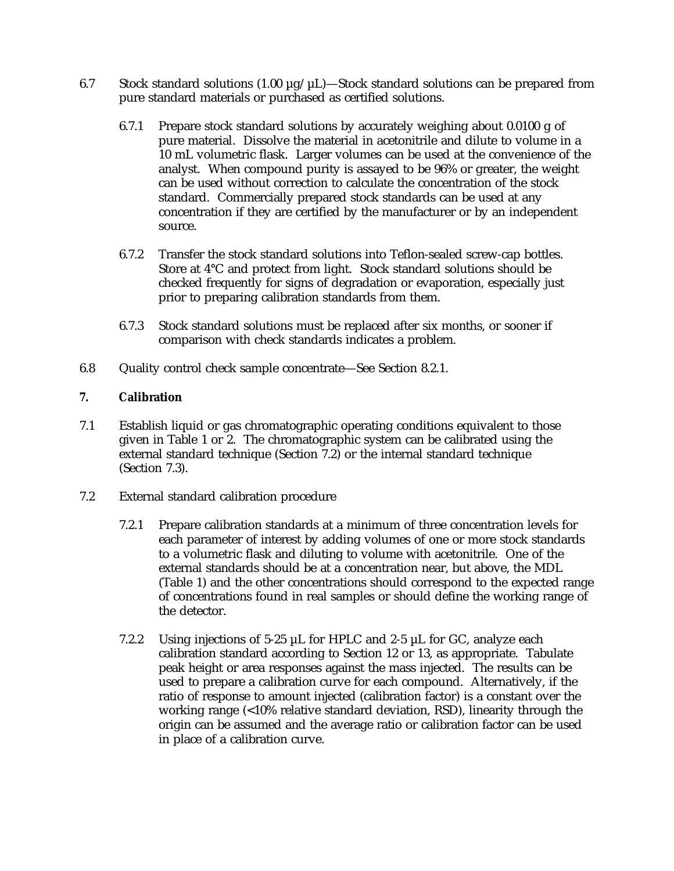- 6.7 Stock standard solutions (1.00  $\mu$ g/ $\mu$ L)—Stock standard solutions can be prepared from pure standard materials or purchased as certified solutions.
	- 6.7.1 Prepare stock standard solutions by accurately weighing about 0.0100 g of pure material. Dissolve the material in acetonitrile and dilute to volume in a 10 mL volumetric flask. Larger volumes can be used at the convenience of the analyst. When compound purity is assayed to be 96% or greater, the weight can be used without correction to calculate the concentration of the stock standard. Commercially prepared stock standards can be used at any concentration if they are certified by the manufacturer or by an independent source.
	- 6.7.2 Transfer the stock standard solutions into Teflon-sealed screw-cap bottles. Store at 4°C and protect from light. Stock standard solutions should be checked frequently for signs of degradation or evaporation, especially just prior to preparing calibration standards from them.
	- 6.7.3 Stock standard solutions must be replaced after six months, or sooner if comparison with check standards indicates a problem.
- 6.8 Quality control check sample concentrate—See Section 8.2.1.

# **7. Calibration**

- 7.1 Establish liquid or gas chromatographic operating conditions equivalent to those given in Table 1 or 2. The chromatographic system can be calibrated using the external standard technique (Section 7.2) or the internal standard technique (Section 7.3).
- 7.2 External standard calibration procedure
	- 7.2.1 Prepare calibration standards at a minimum of three concentration levels for each parameter of interest by adding volumes of one or more stock standards to a volumetric flask and diluting to volume with acetonitrile. One of the external standards should be at a concentration near, but above, the MDL (Table 1) and the other concentrations should correspond to the expected range of concentrations found in real samples or should define the working range of the detector.
	- 7.2.2 Using injections of 5-25  $\mu$ L for HPLC and 2-5  $\mu$ L for GC, analyze each calibration standard according to Section 12 or 13, as appropriate. Tabulate peak height or area responses against the mass injected. The results can be used to prepare a calibration curve for each compound. Alternatively, if the ratio of response to amount injected (calibration factor) is a constant over the working range (<10% relative standard deviation, RSD), linearity through the origin can be assumed and the average ratio or calibration factor can be used in place of a calibration curve.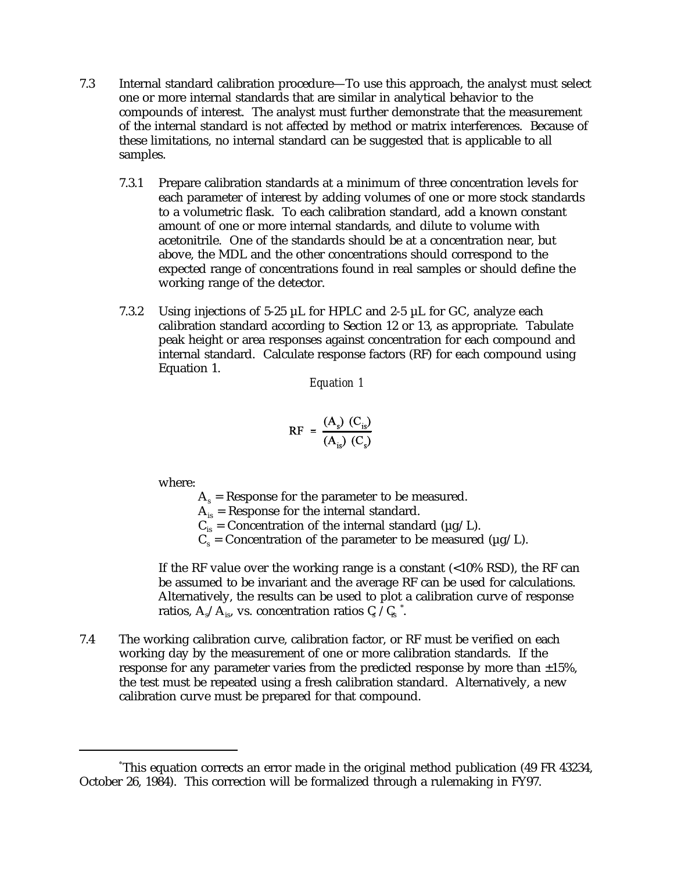- 7.3 Internal standard calibration procedure—To use this approach, the analyst must select one or more internal standards that are similar in analytical behavior to the compounds of interest. The analyst must further demonstrate that the measurement of the internal standard is not affected by method or matrix interferences. Because of these limitations, no internal standard can be suggested that is applicable to all samples.
	- 7.3.1 Prepare calibration standards at a minimum of three concentration levels for each parameter of interest by adding volumes of one or more stock standards to a volumetric flask. To each calibration standard, add a known constant amount of one or more internal standards, and dilute to volume with acetonitrile. One of the standards should be at a concentration near, but above, the MDL and the other concentrations should correspond to the expected range of concentrations found in real samples or should define the working range of the detector.
	- 7.3.2 Using injections of 5-25 µL for HPLC and 2-5 µL for GC, analyze each calibration standard according to Section 12 or 13, as appropriate. Tabulate peak height or area responses against concentration for each compound and internal standard. Calculate response factors (RF) for each compound using Equation 1.

*Equation 1*

$$
RF = \frac{(A_s) (C_{is})}{(A_{is}) (C_s)}
$$

where:

 $A_s$  = Response for the parameter to be measured.

 $A_{is}$  = Response for the internal standard.

 $\rm C_{is}$  = Concentration of the internal standard (µg/L).

 $C_s =$  Concentration of the parameter to be measured ( $\mu$ g/L).

If the RF value over the working range is a constant  $\left( < 10\% \text{ RSD} \right)$ , the RF can be assumed to be invariant and the average RF can be used for calculations. Alternatively, the results can be used to plot a calibration curve of response ratios,  $\rm A_s/A_{is}$ , vs. concentration ratios  $\rm C$  / $\rm C_s$   $\rlap{.}^\ast$ .

7.4 The working calibration curve, calibration factor, or RF must be verified on each working day by the measurement of one or more calibration standards. If the response for any parameter varies from the predicted response by more than  $\pm 15\%$ , the test must be repeated using a fresh calibration standard. Alternatively, a new calibration curve must be prepared for that compound.

This equation corrects an error made in the original method publication (49 FR 43234, \* October 26, 1984). This correction will be formalized through a rulemaking in FY97.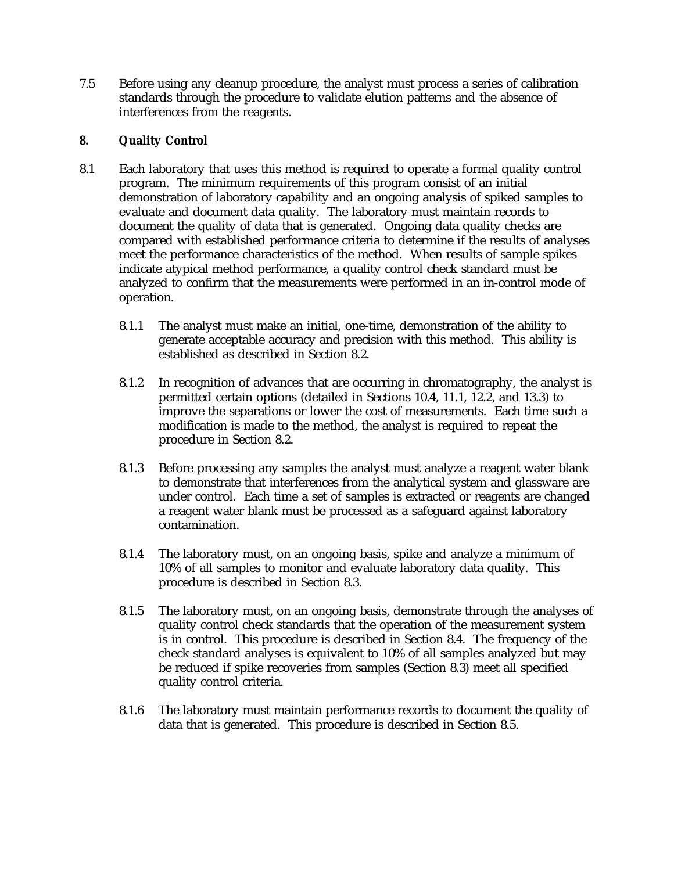7.5 Before using any cleanup procedure, the analyst must process a series of calibration standards through the procedure to validate elution patterns and the absence of interferences from the reagents.

## **8. Quality Control**

- 8.1 Each laboratory that uses this method is required to operate a formal quality control program. The minimum requirements of this program consist of an initial demonstration of laboratory capability and an ongoing analysis of spiked samples to evaluate and document data quality. The laboratory must maintain records to document the quality of data that is generated. Ongoing data quality checks are compared with established performance criteria to determine if the results of analyses meet the performance characteristics of the method. When results of sample spikes indicate atypical method performance, a quality control check standard must be analyzed to confirm that the measurements were performed in an in-control mode of operation.
	- 8.1.1 The analyst must make an initial, one-time, demonstration of the ability to generate acceptable accuracy and precision with this method. This ability is established as described in Section 8.2.
	- 8.1.2 In recognition of advances that are occurring in chromatography, the analyst is permitted certain options (detailed in Sections 10.4, 11.1, 12.2, and 13.3) to improve the separations or lower the cost of measurements. Each time such a modification is made to the method, the analyst is required to repeat the procedure in Section 8.2.
	- 8.1.3 Before processing any samples the analyst must analyze a reagent water blank to demonstrate that interferences from the analytical system and glassware are under control. Each time a set of samples is extracted or reagents are changed a reagent water blank must be processed as a safeguard against laboratory contamination.
	- 8.1.4 The laboratory must, on an ongoing basis, spike and analyze a minimum of 10% of all samples to monitor and evaluate laboratory data quality. This procedure is described in Section 8.3.
	- 8.1.5 The laboratory must, on an ongoing basis, demonstrate through the analyses of quality control check standards that the operation of the measurement system is in control. This procedure is described in Section 8.4. The frequency of the check standard analyses is equivalent to 10% of all samples analyzed but may be reduced if spike recoveries from samples (Section 8.3) meet all specified quality control criteria.
	- 8.1.6 The laboratory must maintain performance records to document the quality of data that is generated. This procedure is described in Section 8.5.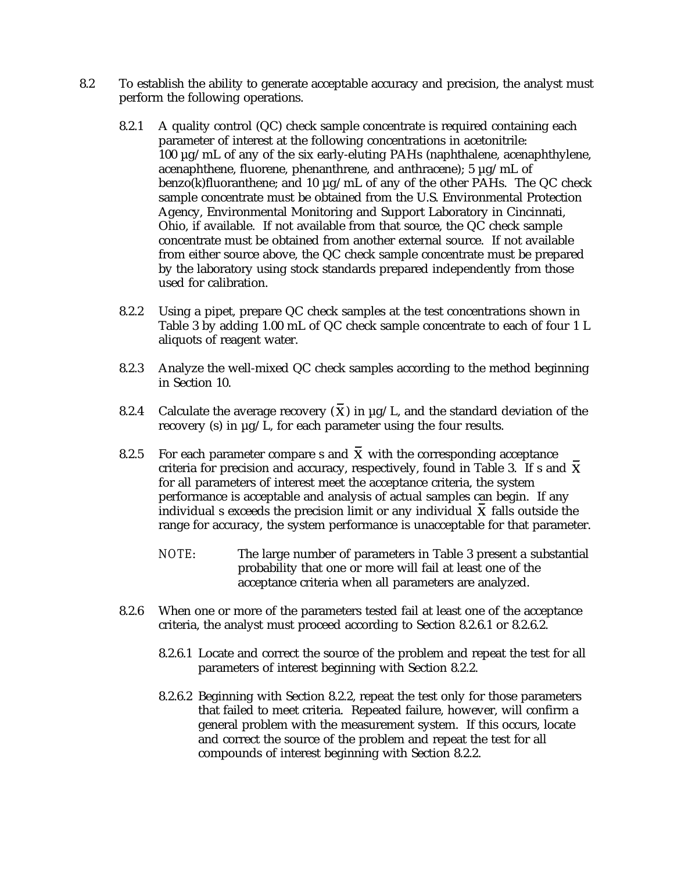- 8.2 To establish the ability to generate acceptable accuracy and precision, the analyst must perform the following operations.
	- 8.2.1 A quality control (QC) check sample concentrate is required containing each parameter of interest at the following concentrations in acetonitrile: 100 µg/mL of any of the six early-eluting PAHs (naphthalene, acenaphthylene, acenaphthene, fluorene, phenanthrene, and anthracene); 5 µg/mL of benzo(k)fluoranthene; and 10 µg/mL of any of the other PAHs. The QC check sample concentrate must be obtained from the U.S. Environmental Protection Agency, Environmental Monitoring and Support Laboratory in Cincinnati, Ohio, if available. If not available from that source, the QC check sample concentrate must be obtained from another external source. If not available from either source above, the QC check sample concentrate must be prepared by the laboratory using stock standards prepared independently from those used for calibration.
	- 8.2.2 Using a pipet, prepare QC check samples at the test concentrations shown in Table 3 by adding 1.00 mL of QC check sample concentrate to each of four 1 L aliquots of reagent water.
	- 8.2.3 Analyze the well-mixed QC check samples according to the method beginning in Section 10.
	- 8.2.4 Calculate the average recovery  $(\overline{X})$  in  $\mu$ g/L, and the standard deviation of the recovery (s) in µg/L, for each parameter using the four results.
	- 8.2.5 For each parameter compare s and  $\bar{X}$  with the corresponding acceptance criteria for precision and accuracy, respectively, found in Table 3. If s and  $X$ for all parameters of interest meet the acceptance criteria, the system performance is acceptable and analysis of actual samples can begin. If any individual  $s$  exceeds the precision limit or any individual  $\boldsymbol{X}$  falls outside the range for accuracy, the system performance is unacceptable for that parameter.
		- *NOTE*: The large number of parameters in Table 3 present a substantial probability that one or more will fail at least one of the acceptance criteria when all parameters are analyzed.
	- 8.2.6 When one or more of the parameters tested fail at least one of the acceptance criteria, the analyst must proceed according to Section 8.2.6.1 or 8.2.6.2.
		- 8.2.6.1 Locate and correct the source of the problem and repeat the test for all parameters of interest beginning with Section 8.2.2.
		- 8.2.6.2 Beginning with Section 8.2.2, repeat the test only for those parameters that failed to meet criteria. Repeated failure, however, will confirm a general problem with the measurement system. If this occurs, locate and correct the source of the problem and repeat the test for all compounds of interest beginning with Section 8.2.2.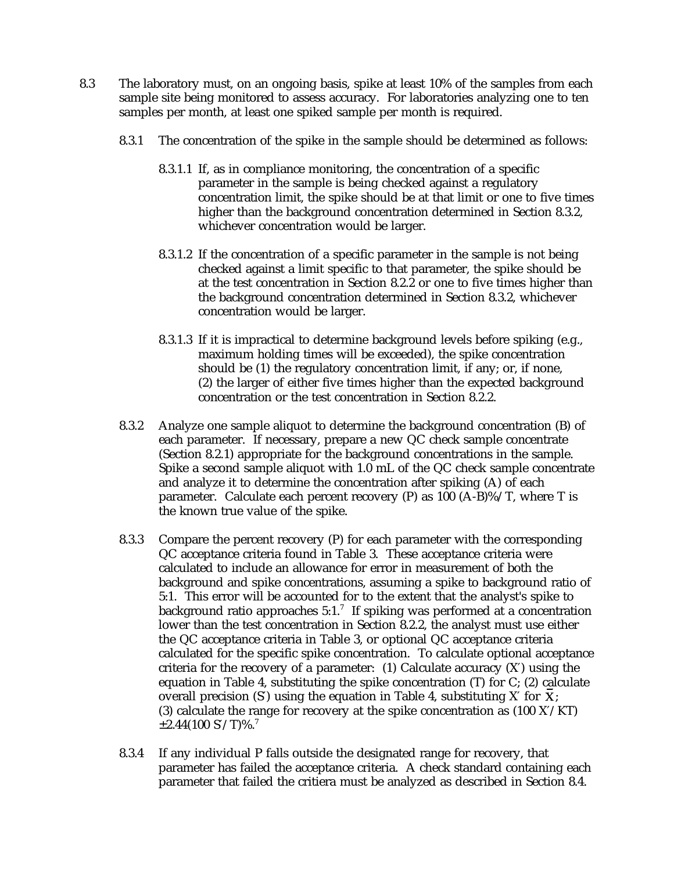- 8.3 The laboratory must, on an ongoing basis, spike at least 10% of the samples from each sample site being monitored to assess accuracy. For laboratories analyzing one to ten samples per month, at least one spiked sample per month is required.
	- 8.3.1 The concentration of the spike in the sample should be determined as follows:
		- 8.3.1.1 If, as in compliance monitoring, the concentration of a specific parameter in the sample is being checked against a regulatory concentration limit, the spike should be at that limit or one to five times higher than the background concentration determined in Section 8.3.2, whichever concentration would be larger.
		- 8.3.1.2 If the concentration of a specific parameter in the sample is not being checked against a limit specific to that parameter, the spike should be at the test concentration in Section 8.2.2 or one to five times higher than the background concentration determined in Section 8.3.2, whichever concentration would be larger.
		- 8.3.1.3 If it is impractical to determine background levels before spiking (e.g., maximum holding times will be exceeded), the spike concentration should be (1) the regulatory concentration limit, if any; or, if none, (2) the larger of either five times higher than the expected background concentration or the test concentration in Section 8.2.2.
	- 8.3.2 Analyze one sample aliquot to determine the background concentration (B) of each parameter. If necessary, prepare a new QC check sample concentrate (Section 8.2.1) appropriate for the background concentrations in the sample. Spike a second sample aliquot with 1.0 mL of the QC check sample concentrate and analyze it to determine the concentration after spiking (A) of each parameter. Calculate each percent recovery  $(P)$  as 100 (A-B)%/T, where T is the known true value of the spike.
	- 8.3.3 Compare the percent recovery (P) for each parameter with the corresponding QC acceptance criteria found in Table 3. These acceptance criteria were calculated to include an allowance for error in measurement of both the background and spike concentrations, assuming a spike to background ratio of 5:1. This error will be accounted for to the extent that the analyst's spike to background ratio approaches  $5:1$ .<sup>7</sup> If spiking was performed at a concentration lower than the test concentration in Section 8.2.2, the analyst must use either the QC acceptance criteria in Table 3, or optional QC acceptance criteria calculated for the specific spike concentration. To calculate optional acceptance criteria for the recovery of a parameter:  $(1)$  Calculate accuracy  $(X')$  using the equation in Table 4, substituting the spike concentration  $(T)$  for  $C$ ; (2) calculate overall precision (S') using the equation in Table 4, substituting X' for  $\overline{X}$ . (3) calculate the range for recovery at the spike concentration as (100 X′/KT)  $\pm 2.44(100 \text{ S'/T})\%$ .<sup>7</sup>
	- 8.3.4 If any individual P falls outside the designated range for recovery, that parameter has failed the acceptance criteria. A check standard containing each parameter that failed the critiera must be analyzed as described in Section 8.4.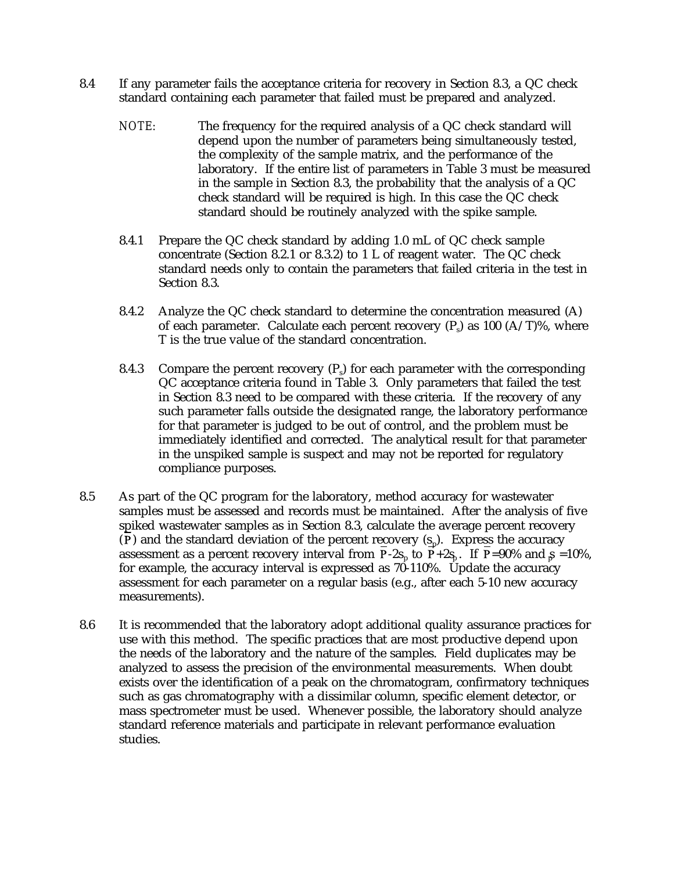- 8.4 If any parameter fails the acceptance criteria for recovery in Section 8.3, a QC check standard containing each parameter that failed must be prepared and analyzed.
	- *NOTE:* The frequency for the required analysis of a QC check standard will depend upon the number of parameters being simultaneously tested, the complexity of the sample matrix, and the performance of the laboratory. If the entire list of parameters in Table 3 must be measured in the sample in Section 8.3, the probability that the analysis of a QC check standard will be required is high. In this case the QC check standard should be routinely analyzed with the spike sample.
	- 8.4.1 Prepare the QC check standard by adding 1.0 mL of QC check sample concentrate (Section 8.2.1 or 8.3.2) to 1 L of reagent water. The QC check standard needs only to contain the parameters that failed criteria in the test in Section 8.3.
	- 8.4.2 Analyze the QC check standard to determine the concentration measured (A) of each parameter. Calculate each percent recovery  $(P_1)$  as 100  $(A/T)$ %, where T is the true value of the standard concentration.
	- 8.4.3 Compare the percent recovery  $(P_5)$  for each parameter with the corresponding QC acceptance criteria found in Table 3. Only parameters that failed the test in Section 8.3 need to be compared with these criteria. If the recovery of any such parameter falls outside the designated range, the laboratory performance for that parameter is judged to be out of control, and the problem must be immediately identified and corrected. The analytical result for that parameter in the unspiked sample is suspect and may not be reported for regulatory compliance purposes.
- 8.5 As part of the QC program for the laboratory, method accuracy for wastewater samples must be assessed and records must be maintained. After the analysis of five spiked wastewater samples as in Section 8.3, calculate the average percent recovery (P) and the standard deviation of the percent recovery  $(s_n)$ . Express the accuracy assessment as a percent recovery interval from  $P-2s_n$  to  $P+2s_n$ . If  $P=90\%$  and  $s =10\%$ , for example, the accuracy interval is expressed as  $70-110\%$ . Update the accuracy assessment for each parameter on a regular basis (e.g., after each 5-10 new accuracy measurements).
- 8.6 It is recommended that the laboratory adopt additional quality assurance practices for use with this method. The specific practices that are most productive depend upon the needs of the laboratory and the nature of the samples. Field duplicates may be analyzed to assess the precision of the environmental measurements. When doubt exists over the identification of a peak on the chromatogram, confirmatory techniques such as gas chromatography with a dissimilar column, specific element detector, or mass spectrometer must be used. Whenever possible, the laboratory should analyze standard reference materials and participate in relevant performance evaluation studies.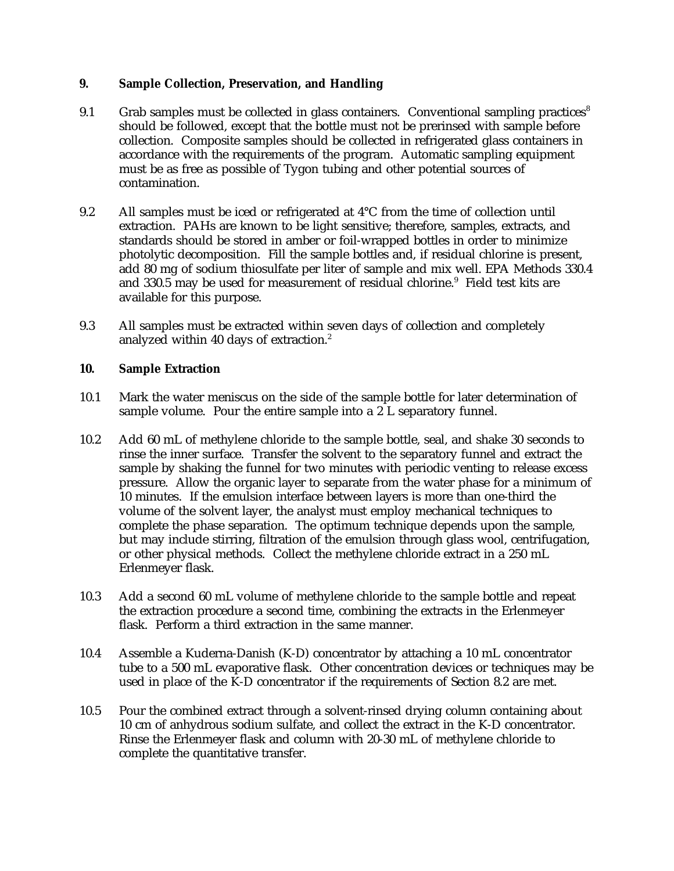## **9. Sample Collection, Preservation, and Handling**

- 9.1 Grab samples must be collected in glass containers. Conventional sampling practices<sup>8</sup> should be followed, except that the bottle must not be prerinsed with sample before collection. Composite samples should be collected in refrigerated glass containers in accordance with the requirements of the program. Automatic sampling equipment must be as free as possible of Tygon tubing and other potential sources of contamination.
- 9.2 All samples must be iced or refrigerated at 4°C from the time of collection until extraction. PAHs are known to be light sensitive; therefore, samples, extracts, and standards should be stored in amber or foil-wrapped bottles in order to minimize photolytic decomposition. Fill the sample bottles and, if residual chlorine is present, add 80 mg of sodium thiosulfate per liter of sample and mix well. EPA Methods 330.4 and 330.5 may be used for measurement of residual chlorine. $9$  Field test kits are available for this purpose.
- 9.3 All samples must be extracted within seven days of collection and completely analyzed within 40 days of extraction.<sup>2</sup>

## **10. Sample Extraction**

- 10.1 Mark the water meniscus on the side of the sample bottle for later determination of sample volume. Pour the entire sample into a 2 L separatory funnel.
- 10.2 Add 60 mL of methylene chloride to the sample bottle, seal, and shake 30 seconds to rinse the inner surface. Transfer the solvent to the separatory funnel and extract the sample by shaking the funnel for two minutes with periodic venting to release excess pressure. Allow the organic layer to separate from the water phase for a minimum of 10 minutes. If the emulsion interface between layers is more than one-third the volume of the solvent layer, the analyst must employ mechanical techniques to complete the phase separation. The optimum technique depends upon the sample, but may include stirring, filtration of the emulsion through glass wool, centrifugation, or other physical methods. Collect the methylene chloride extract in a 250 mL Erlenmeyer flask.
- 10.3 Add a second 60 mL volume of methylene chloride to the sample bottle and repeat the extraction procedure a second time, combining the extracts in the Erlenmeyer flask. Perform a third extraction in the same manner.
- 10.4 Assemble a Kuderna-Danish (K-D) concentrator by attaching a 10 mL concentrator tube to a 500 mL evaporative flask. Other concentration devices or techniques may be used in place of the K-D concentrator if the requirements of Section 8.2 are met.
- 10.5 Pour the combined extract through a solvent-rinsed drying column containing about 10 cm of anhydrous sodium sulfate, and collect the extract in the K-D concentrator. Rinse the Erlenmeyer flask and column with 20-30 mL of methylene chloride to complete the quantitative transfer.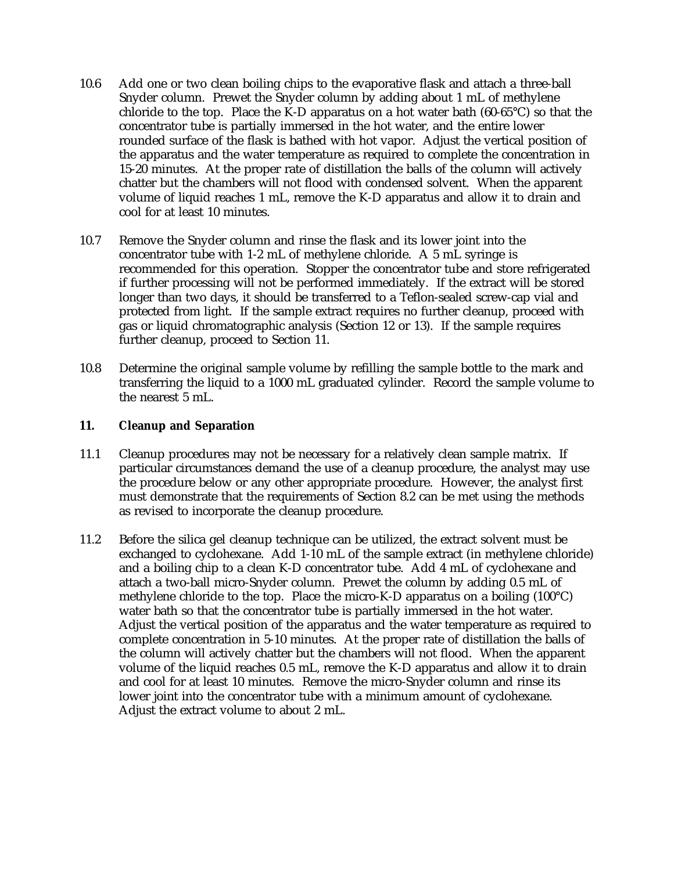- 10.6 Add one or two clean boiling chips to the evaporative flask and attach a three-ball Snyder column. Prewet the Snyder column by adding about 1 mL of methylene chloride to the top. Place the K-D apparatus on a hot water bath  $(60-65^{\circ}C)$  so that the concentrator tube is partially immersed in the hot water, and the entire lower rounded surface of the flask is bathed with hot vapor. Adjust the vertical position of the apparatus and the water temperature as required to complete the concentration in 15-20 minutes. At the proper rate of distillation the balls of the column will actively chatter but the chambers will not flood with condensed solvent. When the apparent volume of liquid reaches 1 mL, remove the K-D apparatus and allow it to drain and cool for at least 10 minutes.
- 10.7 Remove the Snyder column and rinse the flask and its lower joint into the concentrator tube with 1-2 mL of methylene chloride. A 5 mL syringe is recommended for this operation. Stopper the concentrator tube and store refrigerated if further processing will not be performed immediately. If the extract will be stored longer than two days, it should be transferred to a Teflon-sealed screw-cap vial and protected from light. If the sample extract requires no further cleanup, proceed with gas or liquid chromatographic analysis (Section 12 or 13). If the sample requires further cleanup, proceed to Section 11.
- 10.8 Determine the original sample volume by refilling the sample bottle to the mark and transferring the liquid to a 1000 mL graduated cylinder. Record the sample volume to the nearest 5 mL.

## **11. Cleanup and Separation**

- 11.1 Cleanup procedures may not be necessary for a relatively clean sample matrix. If particular circumstances demand the use of a cleanup procedure, the analyst may use the procedure below or any other appropriate procedure. However, the analyst first must demonstrate that the requirements of Section 8.2 can be met using the methods as revised to incorporate the cleanup procedure.
- 11.2 Before the silica gel cleanup technique can be utilized, the extract solvent must be exchanged to cyclohexane. Add 1-10 mL of the sample extract (in methylene chloride) and a boiling chip to a clean K-D concentrator tube. Add 4 mL of cyclohexane and attach a two-ball micro-Snyder column. Prewet the column by adding 0.5 mL of methylene chloride to the top. Place the micro-K-D apparatus on a boiling (100°C) water bath so that the concentrator tube is partially immersed in the hot water. Adjust the vertical position of the apparatus and the water temperature as required to complete concentration in 5-10 minutes. At the proper rate of distillation the balls of the column will actively chatter but the chambers will not flood. When the apparent volume of the liquid reaches 0.5 mL, remove the K-D apparatus and allow it to drain and cool for at least 10 minutes. Remove the micro-Snyder column and rinse its lower joint into the concentrator tube with a minimum amount of cyclohexane. Adjust the extract volume to about 2 mL.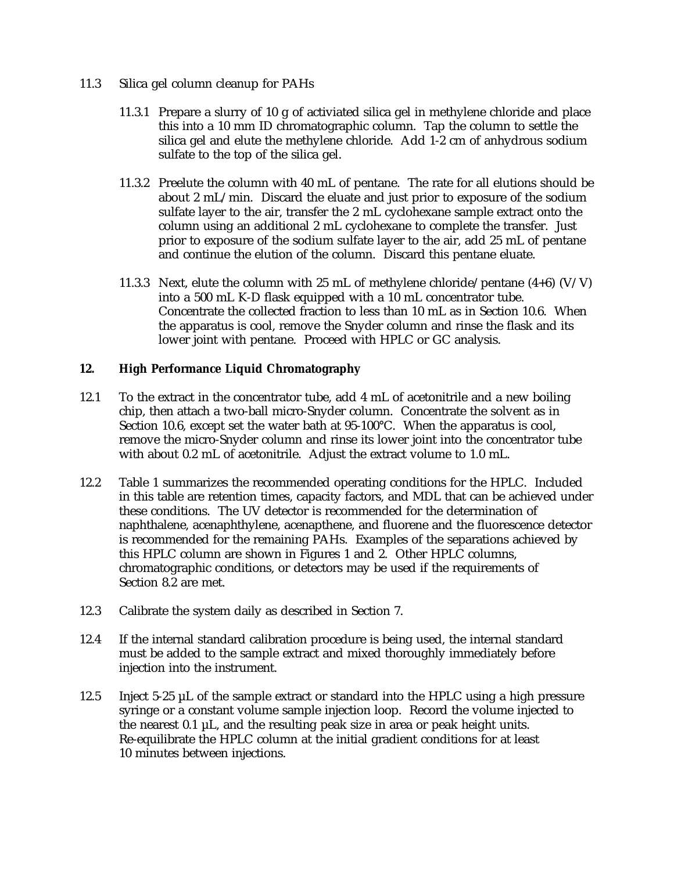- 11.3 Silica gel column cleanup for PAHs
	- 11.3.1 Prepare a slurry of 10 g of activiated silica gel in methylene chloride and place this into a 10 mm ID chromatographic column. Tap the column to settle the silica gel and elute the methylene chloride. Add 1-2 cm of anhydrous sodium sulfate to the top of the silica gel.
	- 11.3.2 Preelute the column with 40 mL of pentane. The rate for all elutions should be about 2 mL/min. Discard the eluate and just prior to exposure of the sodium sulfate layer to the air, transfer the 2 mL cyclohexane sample extract onto the column using an additional 2 mL cyclohexane to complete the transfer. Just prior to exposure of the sodium sulfate layer to the air, add 25 mL of pentane and continue the elution of the column. Discard this pentane eluate.
	- 11.3.3 Next, elute the column with 25 mL of methylene chloride/pentane  $(4+6)$  (V/V) into a 500 mL K-D flask equipped with a 10 mL concentrator tube. Concentrate the collected fraction to less than 10 mL as in Section 10.6. When the apparatus is cool, remove the Snyder column and rinse the flask and its lower joint with pentane. Proceed with HPLC or GC analysis.

## **12. High Performance Liquid Chromatography**

- 12.1 To the extract in the concentrator tube, add 4 mL of acetonitrile and a new boiling chip, then attach a two-ball micro-Snyder column. Concentrate the solvent as in Section 10.6, except set the water bath at 95-100°C. When the apparatus is cool, remove the micro-Snyder column and rinse its lower joint into the concentrator tube with about 0.2 mL of acetonitrile. Adjust the extract volume to 1.0 mL.
- 12.2 Table 1 summarizes the recommended operating conditions for the HPLC. Included in this table are retention times, capacity factors, and MDL that can be achieved under these conditions. The UV detector is recommended for the determination of naphthalene, acenaphthylene, acenapthene, and fluorene and the fluorescence detector is recommended for the remaining PAHs. Examples of the separations achieved by this HPLC column are shown in Figures 1 and 2. Other HPLC columns, chromatographic conditions, or detectors may be used if the requirements of Section 8.2 are met.
- 12.3 Calibrate the system daily as described in Section 7.
- 12.4 If the internal standard calibration procedure is being used, the internal standard must be added to the sample extract and mixed thoroughly immediately before injection into the instrument.
- 12.5 Inject 5-25 µL of the sample extract or standard into the HPLC using a high pressure syringe or a constant volume sample injection loop. Record the volume injected to the nearest  $0.1 \mu L$ , and the resulting peak size in area or peak height units. Re-equilibrate the HPLC column at the initial gradient conditions for at least 10 minutes between injections.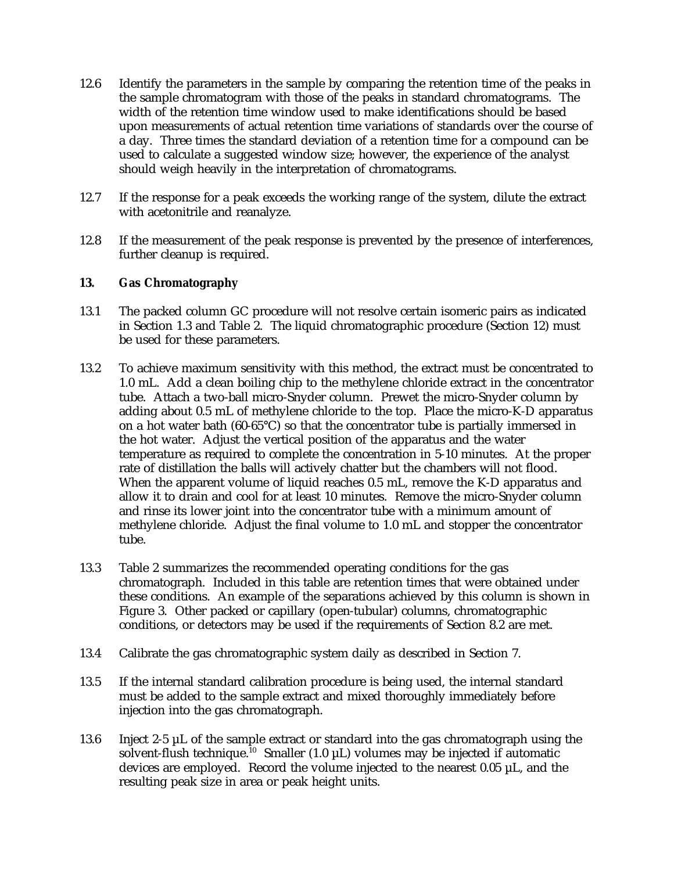- 12.6 Identify the parameters in the sample by comparing the retention time of the peaks in the sample chromatogram with those of the peaks in standard chromatograms. The width of the retention time window used to make identifications should be based upon measurements of actual retention time variations of standards over the course of a day. Three times the standard deviation of a retention time for a compound can be used to calculate a suggested window size; however, the experience of the analyst should weigh heavily in the interpretation of chromatograms.
- 12.7 If the response for a peak exceeds the working range of the system, dilute the extract with acetonitrile and reanalyze.
- 12.8 If the measurement of the peak response is prevented by the presence of interferences, further cleanup is required.

## **13. Gas Chromatography**

- 13.1 The packed column GC procedure will not resolve certain isomeric pairs as indicated in Section 1.3 and Table 2. The liquid chromatographic procedure (Section 12) must be used for these parameters.
- 13.2 To achieve maximum sensitivity with this method, the extract must be concentrated to 1.0 mL. Add a clean boiling chip to the methylene chloride extract in the concentrator tube. Attach a two-ball micro-Snyder column. Prewet the micro-Snyder column by adding about 0.5 mL of methylene chloride to the top. Place the micro-K-D apparatus on a hot water bath (60-65°C) so that the concentrator tube is partially immersed in the hot water. Adjust the vertical position of the apparatus and the water temperature as required to complete the concentration in 5-10 minutes. At the proper rate of distillation the balls will actively chatter but the chambers will not flood. When the apparent volume of liquid reaches 0.5 mL, remove the K-D apparatus and allow it to drain and cool for at least 10 minutes. Remove the micro-Snyder column and rinse its lower joint into the concentrator tube with a minimum amount of methylene chloride. Adjust the final volume to 1.0 mL and stopper the concentrator tube.
- 13.3 Table 2 summarizes the recommended operating conditions for the gas chromatograph. Included in this table are retention times that were obtained under these conditions. An example of the separations achieved by this column is shown in Figure 3. Other packed or capillary (open-tubular) columns, chromatographic conditions, or detectors may be used if the requirements of Section 8.2 are met.
- 13.4 Calibrate the gas chromatographic system daily as described in Section 7.
- 13.5 If the internal standard calibration procedure is being used, the internal standard must be added to the sample extract and mixed thoroughly immediately before injection into the gas chromatograph.
- 13.6 Inject 2-5 µL of the sample extract or standard into the gas chromatograph using the solvent-flush technique.<sup>10</sup> Smaller (1.0  $\mu$ L) volumes may be injected if automatic devices are employed. Record the volume injected to the nearest  $0.05 \mu L$ , and the resulting peak size in area or peak height units.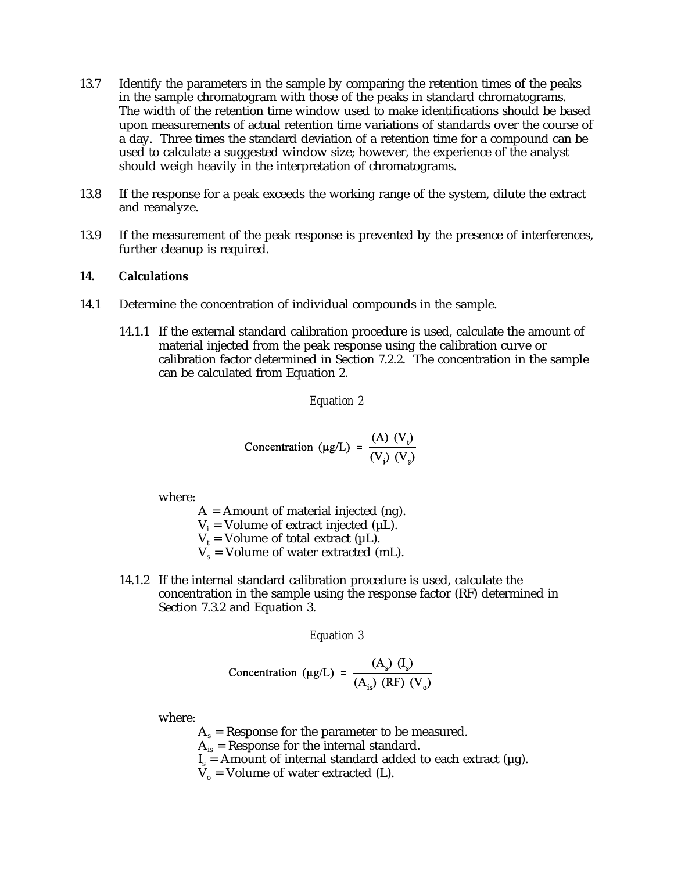- 13.7 Identify the parameters in the sample by comparing the retention times of the peaks in the sample chromatogram with those of the peaks in standard chromatograms. The width of the retention time window used to make identifications should be based upon measurements of actual retention time variations of standards over the course of a day. Three times the standard deviation of a retention time for a compound can be used to calculate a suggested window size; however, the experience of the analyst should weigh heavily in the interpretation of chromatograms.
- 13.8 If the response for a peak exceeds the working range of the system, dilute the extract and reanalyze.
- 13.9 If the measurement of the peak response is prevented by the presence of interferences, further cleanup is required.

#### **14. Calculations**

- 14.1 Determine the concentration of individual compounds in the sample.
	- 14.1.1 If the external standard calibration procedure is used, calculate the amount of material injected from the peak response using the calibration curve or calibration factor determined in Section 7.2.2. The concentration in the sample can be calculated from Equation 2.

#### *Equation 2*

Concentration (µg/L) = 
$$
\frac{(A) (V_t)}{(V_t) (V_s)}
$$

where:

 $A =$  Amount of material injected (ng).  $V_i$  = Volume of extract injected ( $\mu$ L).  $V_t$  = Volume of total extract (µL).  $V_s$  = Volume of water extracted (mL).

14.1.2 If the internal standard calibration procedure is used, calculate the concentration in the sample using the response factor (RF) determined in Section 7.3.2 and Equation 3.

*Equation 3*

$$
\text{Concentration } (\mu g/L) = \frac{(A_s) \text{ (I_s)}}{(A_{is}) \text{ (RF) (V_o)}}
$$

where:

 $A_s$  = Response for the parameter to be measured.

- $A_{is}$  = Response for the internal standard.
- $I_s$  = Amount of internal standard added to each extract ( $\mu$ g).
- $V_0$  = Volume of water extracted (L).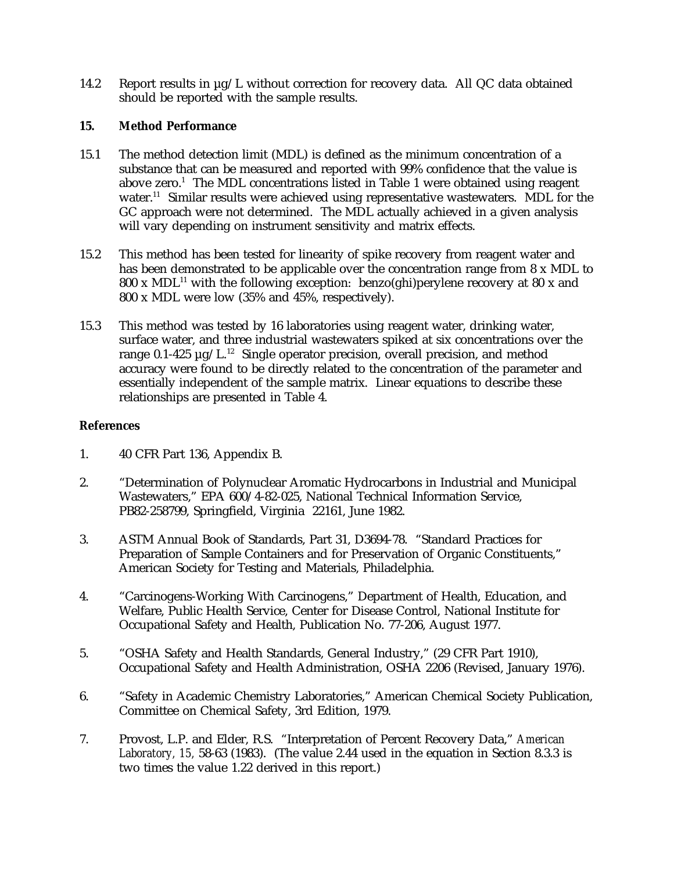14.2 Report results in  $\mu$ g/L without correction for recovery data. All QC data obtained should be reported with the sample results.

## **15. Method Performance**

- 15.1 The method detection limit (MDL) is defined as the minimum concentration of a substance that can be measured and reported with 99% confidence that the value is above zero.<sup>1</sup> The MDL concentrations listed in Table 1 were obtained using reagent water.<sup>11</sup> Similar results were achieved using representative wastewaters. MDL for the GC approach were not determined. The MDL actually achieved in a given analysis will vary depending on instrument sensitivity and matrix effects.
- 15.2 This method has been tested for linearity of spike recovery from reagent water and has been demonstrated to be applicable over the concentration range from 8 x MDL to 800 x MDL<sup>11</sup> with the following exception: benzo(ghi)perylene recovery at 80 x and 800 x MDL were low (35% and 45%, respectively).
- 15.3 This method was tested by 16 laboratories using reagent water, drinking water, surface water, and three industrial wastewaters spiked at six concentrations over the range 0.1-425  $\mu$ g/L.<sup>12</sup> Single operator precision, overall precision, and method accuracy were found to be directly related to the concentration of the parameter and essentially independent of the sample matrix. Linear equations to describe these relationships are presented in Table 4.

# **References**

- 1. 40 CFR Part 136, Appendix B.
- 2. "Determination of Polynuclear Aromatic Hydrocarbons in Industrial and Municipal Wastewaters," EPA 600/4-82-025, National Technical Information Service, PB82-258799, Springfield, Virginia 22161, June 1982.
- 3. ASTM Annual Book of Standards, Part 31, D3694-78. "Standard Practices for Preparation of Sample Containers and for Preservation of Organic Constituents," American Society for Testing and Materials, Philadelphia.
- 4. "Carcinogens-Working With Carcinogens," Department of Health, Education, and Welfare, Public Health Service, Center for Disease Control, National Institute for Occupational Safety and Health, Publication No. 77-206, August 1977.
- 5. "OSHA Safety and Health Standards, General Industry," (29 CFR Part 1910), Occupational Safety and Health Administration, OSHA 2206 (Revised, January 1976).
- 6. "Safety in Academic Chemistry Laboratories," American Chemical Society Publication, Committee on Chemical Safety, 3rd Edition, 1979.
- 7. Provost, L.P. and Elder, R.S. "Interpretation of Percent Recovery Data," *American Laboratory, 15,* 58-63 (1983). (The value 2.44 used in the equation in Section 8.3.3 is two times the value 1.22 derived in this report.)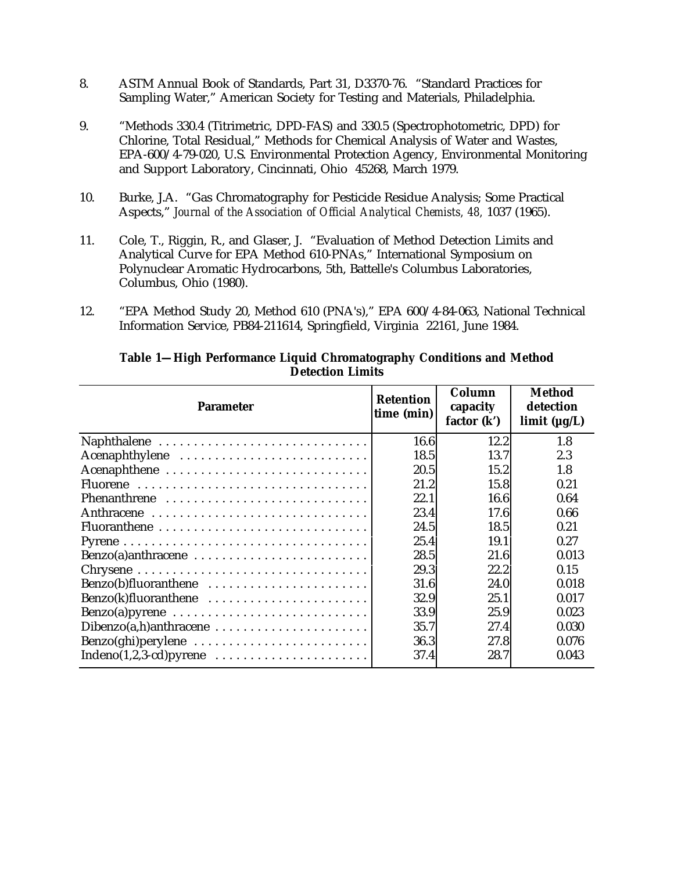- 8. ASTM Annual Book of Standards, Part 31, D3370-76. "Standard Practices for Sampling Water," American Society for Testing and Materials, Philadelphia.
- 9. "Methods 330.4 (Titrimetric, DPD-FAS) and 330.5 (Spectrophotometric, DPD) for Chlorine, Total Residual," Methods for Chemical Analysis of Water and Wastes, EPA-600/4-79-020, U.S. Environmental Protection Agency, Environmental Monitoring and Support Laboratory, Cincinnati, Ohio 45268, March 1979.
- 10. Burke, J.A. "Gas Chromatography for Pesticide Residue Analysis; Some Practical Aspects," *Journal of the Association of Official Analytical Chemists, 48,* 1037 (1965).
- 11. Cole, T., Riggin, R., and Glaser, J. "Evaluation of Method Detection Limits and Analytical Curve for EPA Method 610-PNAs," International Symposium on Polynuclear Aromatic Hydrocarbons, 5th, Battelle's Columbus Laboratories, Columbus, Ohio (1980).
- 12. "EPA Method Study 20, Method 610 (PNA's)," EPA 600/4-84-063, National Technical Information Service, PB84-211614, Springfield, Virginia 22161, June 1984.

| <b>Parameter</b>                                                   | <b>Retention</b><br>time (min) | Column<br>capacity<br>factor $(k')$ | Method<br>detection<br>limit $(\mu g/L)$ |  |
|--------------------------------------------------------------------|--------------------------------|-------------------------------------|------------------------------------------|--|
| Naphthalene                                                        | 16.6                           | 12.2                                | 1.8                                      |  |
| Acenaphthylene                                                     | 18.5                           | 13.7                                | 2.3                                      |  |
| Acenaphthene                                                       | 20.5                           | 15.2                                | 1.8                                      |  |
|                                                                    | 21.2                           | 15.8                                | 0.21                                     |  |
| Phenanthrene                                                       | 22.1                           | 16.6                                | 0.64                                     |  |
|                                                                    | 23.4                           | 17.6                                | 0.66                                     |  |
|                                                                    | 24.5                           | 18.5                                | 0.21                                     |  |
|                                                                    | 25.4                           | 19.1                                | 0.27                                     |  |
| Benzo(a)anthracene                                                 | 28.5                           | 21.6                                | 0.013                                    |  |
|                                                                    | 29.3                           | 22.2                                | 0.15                                     |  |
| Benzo(b)fluoranthene                                               | 31.6                           | 24.0                                | 0.018                                    |  |
| Benzo(k)fluoranthene                                               | 32.9                           | 25.1                                | 0.017                                    |  |
|                                                                    | 33.9                           | 25.9                                | 0.023                                    |  |
|                                                                    | 35.7                           | 27.4                                | 0.030                                    |  |
| Benzo(ghi)perylene                                                 | 36.3                           | 27.8                                | 0.076                                    |  |
| $Indeno(1,2,3-cd)pyrene \ldots \ldots \ldots \ldots \ldots \ldots$ | 37.4                           | 28.7                                | 0.043                                    |  |

# **Table 1—High Performance Liquid Chromatography Conditions and Method Detection Limits**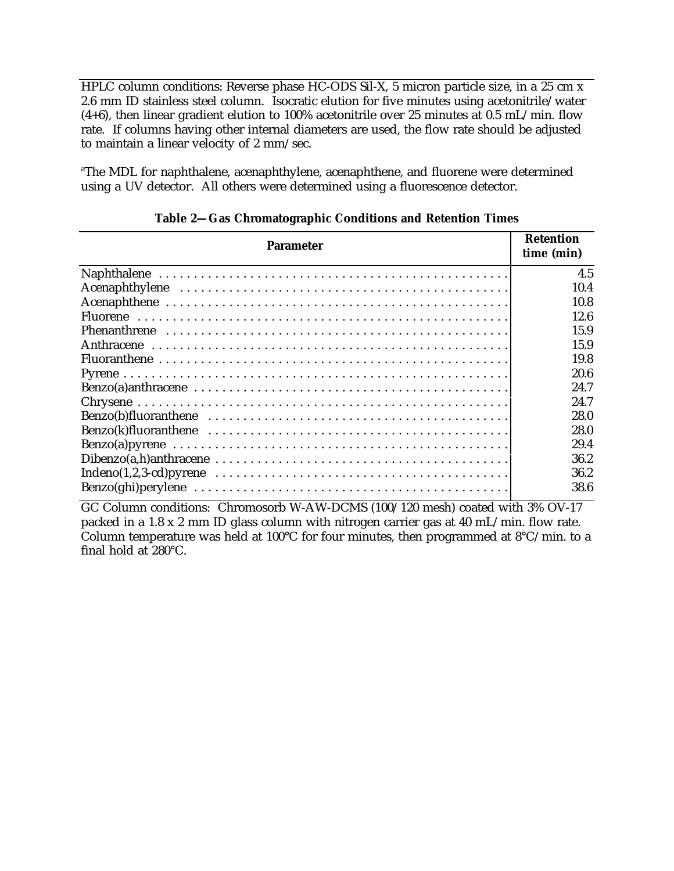HPLC column conditions: Reverse phase HC-ODS Sil-X, 5 micron particle size, in a 25 cm x 2.6 mm ID stainless steel column. Isocratic elution for five minutes using acetonitrile/water  $(4+6)$ , then linear gradient elution to 100% acetonitrile over 25 minutes at 0.5 mL/min. flow rate. If columns having other internal diameters are used, the flow rate should be adjusted to maintain a linear velocity of 2 mm/sec.

<sup>a</sup>The MDL for naphthalene, acenaphthylene, acenaphthene, and fluorene were determined using a UV detector. All others were determined using a fluorescence detector.

| <b>Parameter</b>                                                                                       | <b>Retention</b><br>time (min) |  |
|--------------------------------------------------------------------------------------------------------|--------------------------------|--|
|                                                                                                        | 4.5                            |  |
|                                                                                                        | 10.4                           |  |
|                                                                                                        | 10.8                           |  |
|                                                                                                        | 12.6                           |  |
|                                                                                                        | 15.9                           |  |
|                                                                                                        | 15.9                           |  |
|                                                                                                        | 19.8                           |  |
|                                                                                                        | 20.6                           |  |
|                                                                                                        | 24.7                           |  |
|                                                                                                        | 24.7                           |  |
|                                                                                                        | 28.0                           |  |
|                                                                                                        | 28.0                           |  |
|                                                                                                        | 29.4                           |  |
|                                                                                                        | 36.2                           |  |
| $Indeno(1,2,3-cd)pyrene \dots \dots \dots \dots \dots \dots \dots \dots \dots \dots \dots \dots \dots$ | 36.2                           |  |
|                                                                                                        | 38.6                           |  |

**Table 2—Gas Chromatographic Conditions and Retention Times**

GC Column conditions: Chromosorb W-AW-DCMS (100/120 mesh) coated with 3% OV-17 packed in a 1.8 x 2 mm ID glass column with nitrogen carrier gas at 40 mL/min. flow rate. Column temperature was held at 100°C for four minutes, then programmed at 8°C/min. to a final hold at 280°C.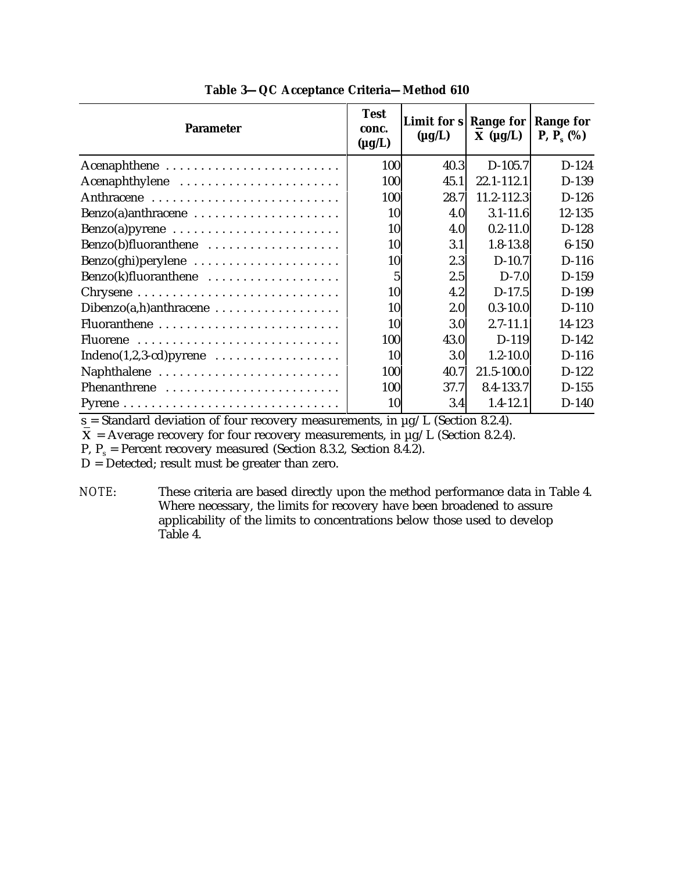| <b>Parameter</b>                                             | <b>Test</b><br>conc.<br>$(\mu g/L)$ | Limit for $s$ Range for<br>$(\mu g/L)$ | $\mathbf{X}$ (µg/L) | <b>Range for</b><br><b>P</b> , $P_s$ (%) |
|--------------------------------------------------------------|-------------------------------------|----------------------------------------|---------------------|------------------------------------------|
| Acenaphthene                                                 | 100                                 | 40.3                                   | $D-105.7$           | $D-124$                                  |
| Acenaphthylene                                               | 100                                 | 45.1                                   | 22.1-112.1          | D-139                                    |
| Anthracene                                                   | 100                                 | 28.7                                   | $11.2 - 112.3$      | $D-126$                                  |
| Benzo(a)anthracene                                           | 10                                  | 4.0                                    | $3.1 - 11.6$        | 12-135                                   |
|                                                              | 10                                  | 4.0                                    | $0.2 - 11.0$        | $D-128$                                  |
| Benzo(b)fluoranthene                                         | 10                                  | 3.1                                    | $1.8 - 13.8$        | $6 - 150$                                |
| Benzo(ghi)perylene                                           | 10                                  | 2.3                                    | $D-10.7$            | $D-116$                                  |
| Benzo(k)fluoranthene                                         | 5                                   | 2.5                                    | $D-7.0$             | $D-159$                                  |
|                                                              | 10                                  | 4.2                                    | $D-17.5$            | D-199                                    |
| Dibenzo(a,h)anthracene                                       | 10                                  | 2.0                                    | $0.3 - 10.0$        | $D-110$                                  |
|                                                              | 10                                  | 3.0 <sub>l</sub>                       | $2.7 - 11.1$        | 14-123                                   |
| Fluorene                                                     | 100                                 | 43.0                                   | $D-119$             | $D-142$                                  |
| Indeno $(1,2,3$ -cd) pyrene $\dots\dots\dots\dots\dots\dots$ | 10                                  | 3.0                                    | $1.2 - 10.0$        | $D-116$                                  |
| Naphthalene                                                  | 100                                 | 40.7                                   | $21.5 - 100.0$      | $D-122$                                  |
| Phenanthrene                                                 | 100                                 | 37.7                                   | 8.4-133.7           | $D-155$                                  |
|                                                              | 10                                  | 3.4                                    | $1.4 - 12.1$        | $D-140$                                  |

**Table 3—QC Acceptance Criteria—Method 610**

 $s$  = Standard deviation of four recovery measurements, in  $\mu$ g/L (Section 8.2.4).

 $\overline{\mathbf{X}}$  = Average recovery for four recovery measurements, in  $\mu$ g/L (Section 8.2.4).

P,  $P_s$  = Percent recovery measured (Section 8.3.2, Section 8.4.2).

D = Detected; result must be greater than zero.

*NOTE*: These criteria are based directly upon the method performance data in Table 4. Where necessary, the limits for recovery have been broadened to assure applicability of the limits to concentrations below those used to develop Table 4.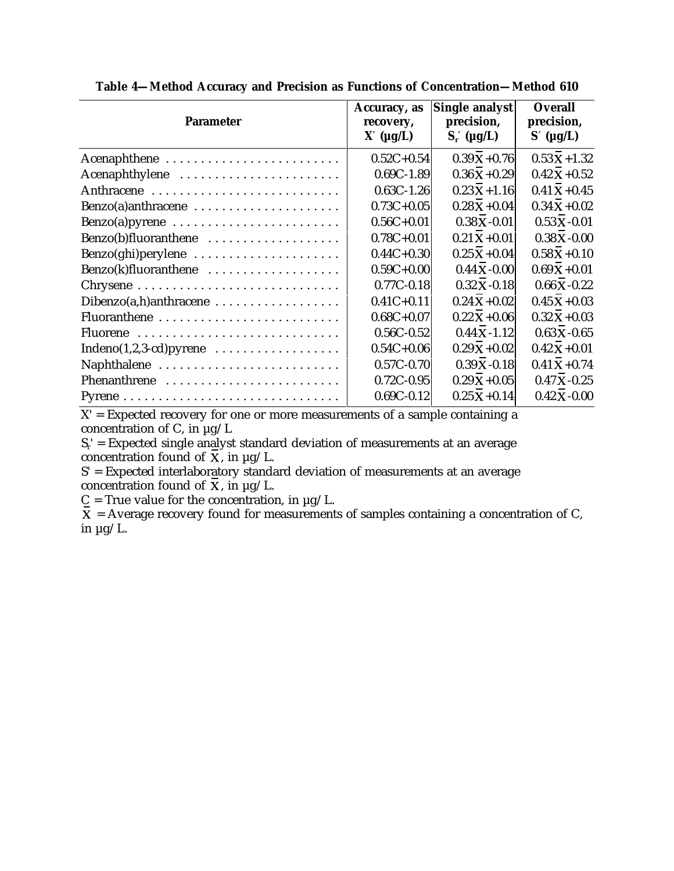| <b>Parameter</b>                                                 | Accuracy, as<br>recovery,<br>$X'$ ( $\mu$ g/L) | Single analyst<br>precision,<br>$S'_r$ ( $\mu g/L$ ) | <b>Overall</b><br>precision,<br>$S'$ ( $\mu$ g/L) |
|------------------------------------------------------------------|------------------------------------------------|------------------------------------------------------|---------------------------------------------------|
| Acenaphthene                                                     | $0.52C + 0.54$                                 | $0.39X + 0.76$                                       | $0.53X + 1.32$                                    |
| Acenaphthylene                                                   | $0.69C - 1.89$                                 | $0.36X + 0.29$                                       | $0.42X + 0.52$                                    |
|                                                                  | $0.63C - 1.26$                                 | $0.23X + 1.16$                                       | $0.41X + 0.45$                                    |
| Benzo(a)anthracene                                               | $0.73C + 0.05$                                 | $0.28X + 0.04$                                       | $0.34X + 0.02$                                    |
| Benzo(a)pyrene                                                   | $0.56C + 0.01$                                 | $0.38X - 0.01$                                       | $0.53X - 0.01$                                    |
| Benzo(b)fluoranthene                                             | $0.78C + 0.01$                                 | $0.21X + 0.01$                                       | $0.38X - 0.00$                                    |
| Benzo(ghi)perylene                                               | $0.44C + 0.30$                                 | $0.25X + 0.04$                                       | $0.58X + 0.10$                                    |
| Benzo(k)fluoranthene                                             | $0.59C+0.00$                                   | $0.44X - 0.00$                                       | $0.69X + 0.01$                                    |
|                                                                  | $0.77C - 0.18$                                 | $0.32X - 0.18$                                       | $0.66$ X - 0.22                                   |
| $Dibenzo(a,h)anthracene \ldots \ldots \ldots \ldots \ldots$      | $0.41C + 0.11$                                 | $0.24X + 0.02$                                       | $0.45X + 0.03$                                    |
|                                                                  | $0.68C + 0.07$                                 | $0.22X + 0.06$                                       | $0.32 X + 0.03$                                   |
| Fluorene                                                         | $0.56C - 0.52$                                 | $0.44X - 1.12$                                       | $0.63 X - 0.65$                                   |
| Indeno $(1,2,3$ -cd) pyrene $\ldots \ldots \ldots \ldots \ldots$ | $0.54C + 0.06$                                 | $0.29X + 0.02$                                       | $0.42X + 0.01$                                    |
| Naphthalene                                                      | $0.57C - 0.70$                                 | $0.39X - 0.18$                                       | $0.41 X + 0.74$                                   |
| Phenanthrene                                                     | $0.72C - 0.95$                                 | $0.29X + 0.05$                                       | $0.47X - 0.25$                                    |
|                                                                  | $0.69C - 0.12$                                 | $0.25X + 0.14$                                       | $0.42 X - 0.00$                                   |

**Table 4—Method Accuracy and Precision as Functions of Concentration—Method 610**

 $X'$  = Expected recovery for one or more measurements of a sample containing a concentration of C, in  $\mu$ g/L

 $S<sub>r</sub>$  = Expected single analyst standard deviation of measurements at an average concentration found of  $X$ , in  $\mu$ g/L.

S' = Expected interlaboratory standard deviation of measurements at an average concentration found of  $\overline{\mathbf{x}}$ , in  $\mu$ g/L.

 $C = True$  value for the concentration, in  $\mu$ g/L.

 $\overline{\mathbf{X}}$  = Average recovery found for measurements of samples containing a concentration of C, in  $\mu$ g/L.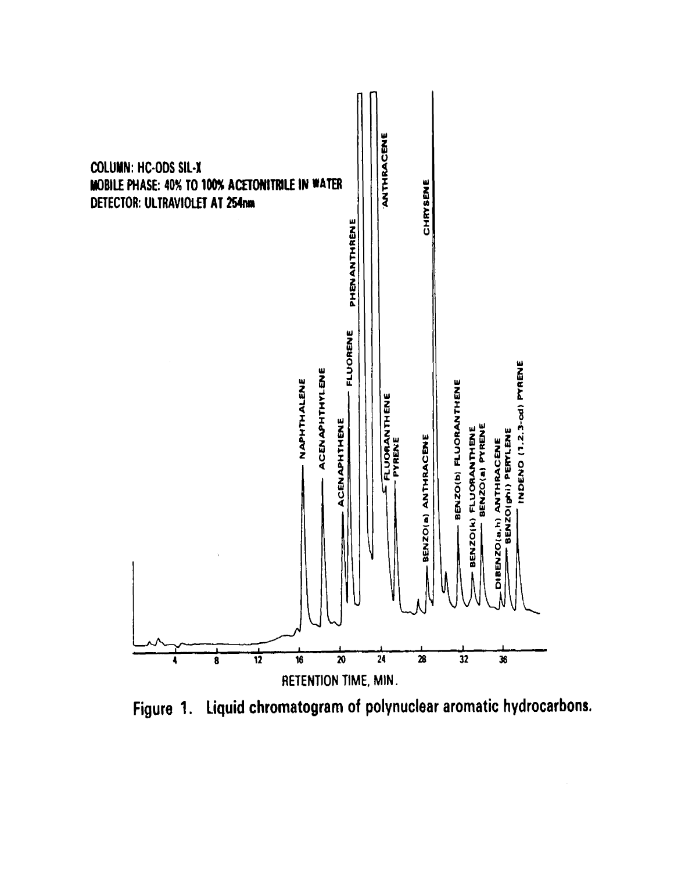

Figure 1. Liquid chromatogram of polynuclear aromatic hydrocarbons.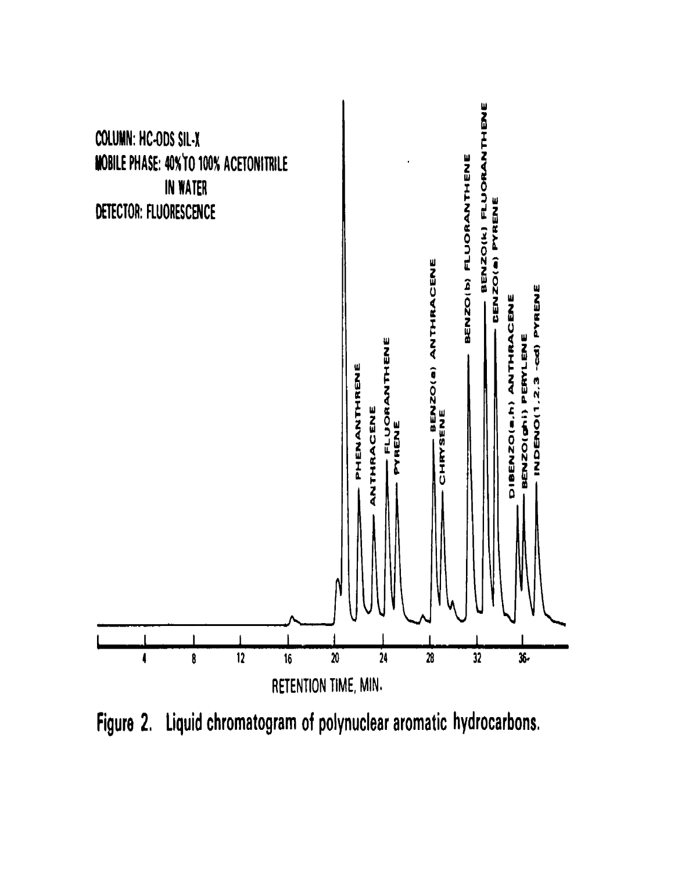

Figure 2. Liquid chromatogram of polynuclear aromatic hydrocarbons.